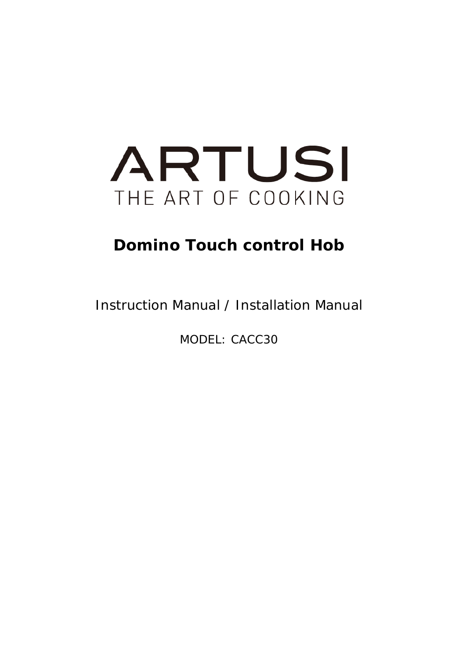

## **Domino Touch control Hob**

Instruction Manual / Installation Manual

MODEL: CACC30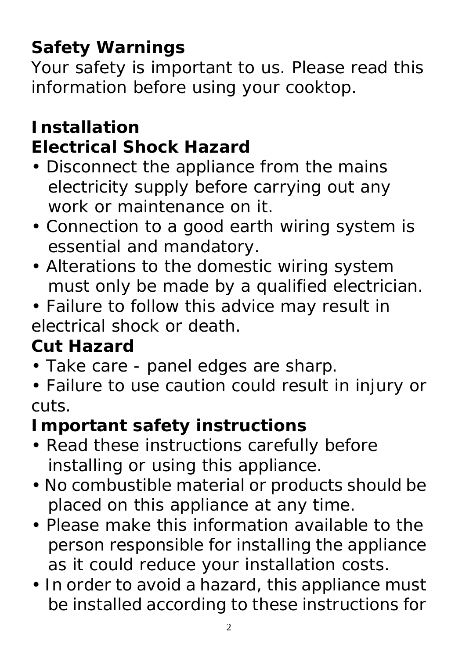# **Safety Warnings**

Your safety is important to us. Please read this information before using your cooktop.

## **Installation Electrical Shock Hazard**

- Disconnect the appliance from the mains electricity supply before carrying out any work or maintenance on it.
- Connection to a good earth wiring system is essential and mandatory.
- Alterations to the domestic wiring system must only be made by a qualified electrician.
- Failure to follow this advice may result in electrical shock or death.

# **Cut Hazard**

- Take care panel edges are sharp.
- Failure to use caution could result in injury or cuts.

# **Important safety instructions**

- Read these instructions carefully before installing or using this appliance.
- No combustible material or products should be placed on this appliance at any time.
- Please make this information available to the person responsible for installing the appliance as it could reduce your installation costs.
- In order to avoid a hazard, this appliance must be installed according to these instructions for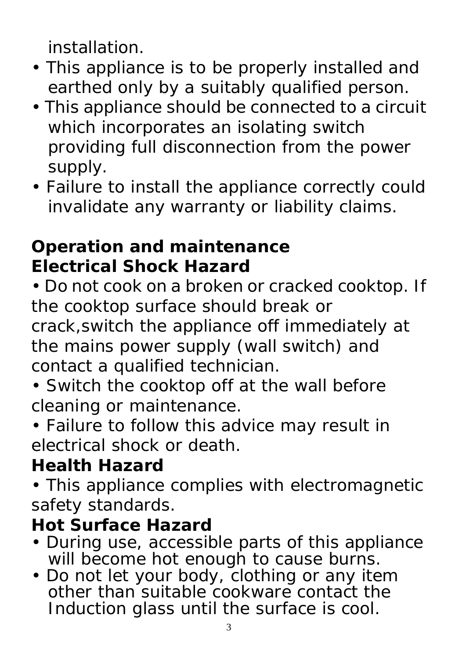installation.

- This appliance is to be properly installed and earthed only by a suitably qualified person.
- This appliance should be connected to a circuit which incorporates an isolating switch providing full disconnection from the power supply.
- Failure to install the appliance correctly could invalidate any warranty or liability claims.

# **Operation and maintenance Electrical Shock Hazard**

• Do not cook on a broken or cracked cooktop. If the cooktop surface should break or crack,switch the appliance off immediately at the mains power supply (wall switch) and contact a qualified technician.

- Switch the cooktop off at the wall before cleaning or maintenance.
- Failure to follow this advice may result in electrical shock or death.

# **Health Hazard**

• This appliance complies with electromagnetic safety standards.

## **Hot Surface Hazard**

- During use, accessible parts of this appliance will become hot enough to cause burns.
- Do not let your body, clothing or any item other than suitable cookware contact the Induction glass until the surface is cool.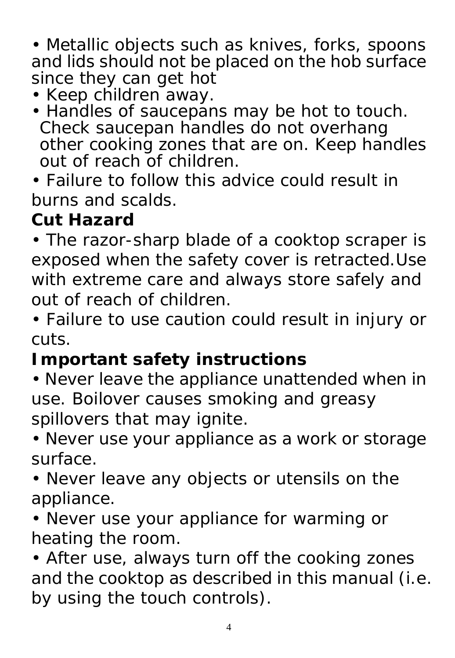• Metallic objects such as knives, forks, spoons and lids should not be placed on the hob surface since they can get hot

- Keep children away.
- Handles of saucepans may be hot to touch. Check saucepan handles do not overhang other cooking zones that are on. Keep handles out of reach of children

• Failure to follow this advice could result in burns and scalds.

# **Cut Hazard**

• The razor-sharp blade of a cooktop scraper is exposed when the safety cover is retracted.Use with extreme care and always store safely and out of reach of children.

• Failure to use caution could result in injury or cuts.

## **Important safety instructions**

• Never leave the appliance unattended when in use. Boilover causes smoking and greasy spillovers that may ignite.

• Never use your appliance as a work or storage surface.

• Never leave any objects or utensils on the appliance.

• Never use your appliance for warming or heating the room.

• After use, always turn off the cooking zones and the cooktop as described in this manual (i.e. by using the touch controls).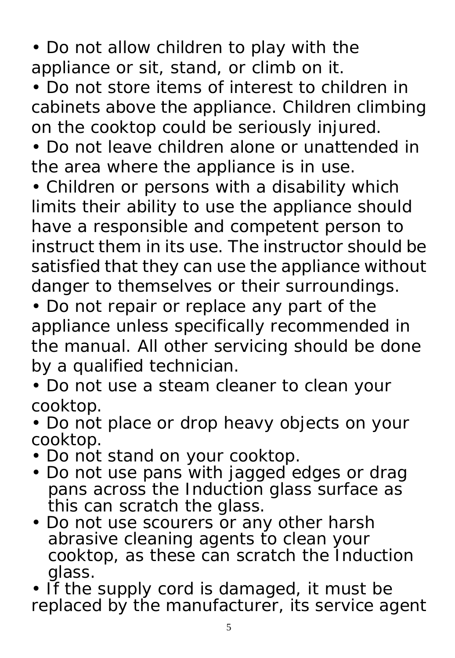• Do not allow children to play with the appliance or sit, stand, or climb on it.

• Do not store items of interest to children in cabinets above the appliance. Children climbing on the cooktop could be seriously injured.

• Do not leave children alone or unattended in the area where the appliance is in use.

• Children or persons with a disability which limits their ability to use the appliance should have a responsible and competent person to instruct them in its use. The instructor should be satisfied that they can use the appliance without danger to themselves or their surroundings.

• Do not repair or replace any part of the appliance unless specifically recommended in the manual. All other servicing should be done by a qualified technician.

• Do not use a steam cleaner to clean your cooktop.

• Do not place or drop heavy objects on your cooktop.

- Do not stand on your cooktop.
- Do not use pans with jagged edges or drag pans across the Induction glass surface as this can scratch the glass.
- Do not use scourers or any other harsh abrasive cleaning agents to clean your cooktop, as these can scratch the Induction glass.

• If the supply cord is damaged, it must be replaced by the manufacturer, its service agent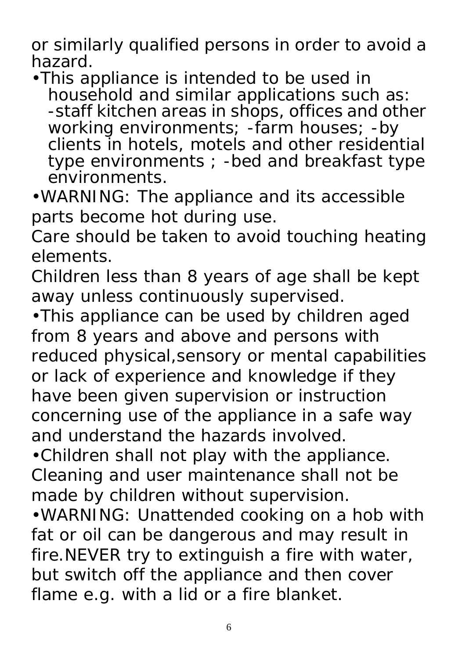or similarly qualified persons in order to avoid a hazard.

•This appliance is intended to be used in household and similar applications such as: -staff kitchen areas in shops, offices and other working environments; -farm houses; -by clients in hotels, motels and other residential type environments ; -bed and breakfast type environments.

•WARNING: The appliance and its accessible parts become hot during use.

Care should be taken to avoid touching heating elements.

Children less than 8 years of age shall be kept away unless continuously supervised.

•This appliance can be used by children aged from 8 years and above and persons with reduced physical,sensory or mental capabilities or lack of experience and knowledge if they have been given supervision or instruction concerning use of the appliance in a safe way and understand the hazards involved.

•Children shall not play with the appliance. Cleaning and user maintenance shall not be made by children without supervision*.* 

•WARNING: Unattended cooking on a hob with fat or oil can be dangerous and may result in fire.NEVER try to extinguish a fire with water, but switch off the appliance and then cover flame e.g. with a lid or a fire blanket.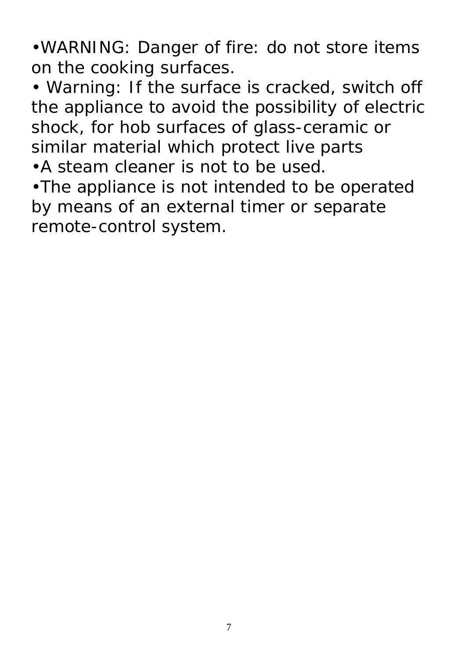•WARNING: Danger of fire: do not store items on the cooking surfaces.

• Warning: If the surface is cracked, switch off the appliance to avoid the possibility of electric shock, for hob surfaces of glass-ceramic or similar material which protect live parts

•A steam cleaner is not to be used.

•The appliance is not intended to be operated by means of an external timer or separate remote-control system.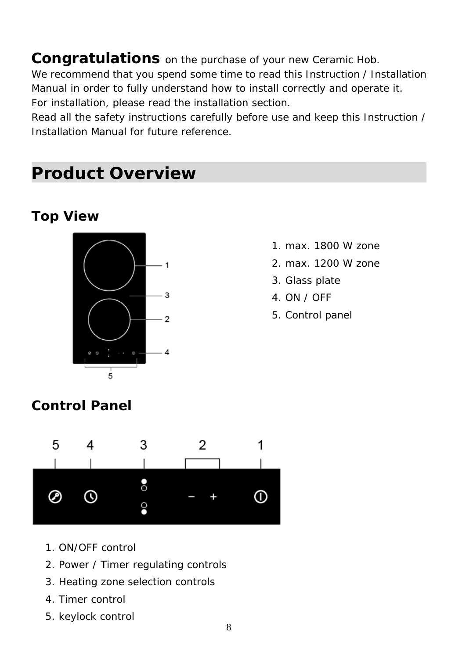**Congratulations** on the purchase of your new Ceramic Hob.

We recommend that you spend some time to read this Instruction / Installation Manual in order to fully understand how to install correctly and operate it. For installation, please read the installation section.

Read all the safety instructions carefully before use and keep this Instruction / Installation Manual for future reference.

## **Product Overview**

### **Top View**



- 1. max. 1800 W zone
- 2. max. 1200 W zone
- 3. Glass plate
- 4. ON / OFF
- 5. Control panel

### **Control Panel**



- 1. ON/OFF control
- 2. Power / Timer regulating controls
- 3. Heating zone selection controls
- 4. Timer control
- 5. keylock control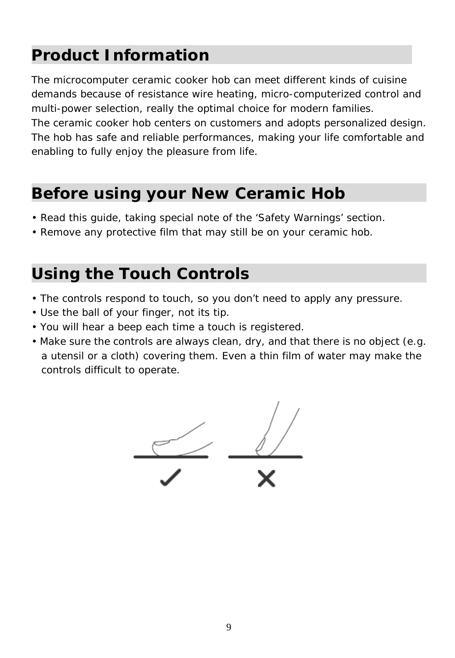## **Product Information**

The microcomputer ceramic cooker hob can meet different kinds of cuisine demands because of resistance wire heating, micro-computerized control and multi-power selection, really the optimal choice for modern families.

The ceramic cooker hob centers on customers and adopts personalized design. The hob has safe and reliable performances, making your life comfortable and enabling to fully enjoy the pleasure from life.

## **Before using your New Ceramic Hob**

- Read this guide, taking special note of the 'Safety Warnings' section.
- Remove any protective film that may still be on your ceramic hob.

## **Using the Touch Controls**

- The controls respond to touch, so you don't need to apply any pressure.
- Use the ball of your finger, not its tip.
- You will hear a beep each time a touch is registered.
- Make sure the controls are always clean, dry, and that there is no object (e.g. a utensil or a cloth) covering them. Even a thin film of water may make the controls difficult to operate.

$$
\frac{1}{\sqrt{1-\frac{1}{x}}}
$$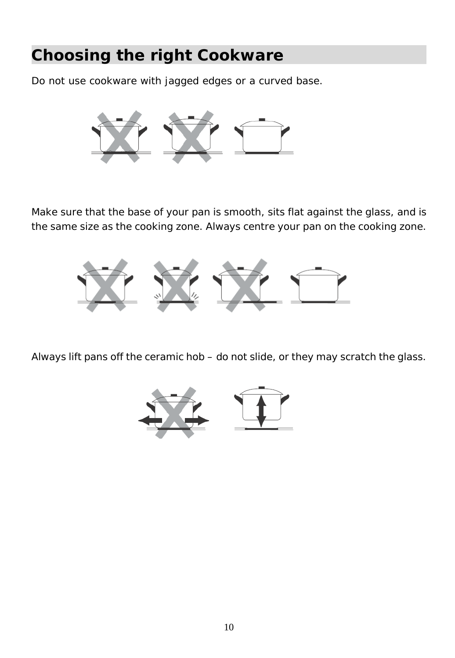## **Choosing the right Cookware**

Do not use cookware with jagged edges or a curved base.



Make sure that the base of your pan is smooth, sits flat against the glass, and is the same size as the cooking zone. Always centre your pan on the cooking zone.



Always lift pans off the ceramic hob – do not slide, or they may scratch the glass.

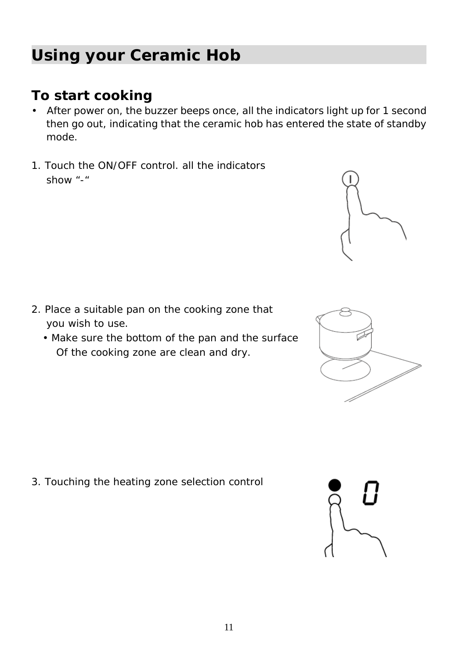## **Using your Ceramic Hob**

### **To start cooking**

- After power on, the buzzer beeps once, all the indicators light up for 1 second then go out, indicating that the ceramic hob has entered the state of standby mode.
- 1. Touch the ON/OFF control. all the indicators show "-"

- 2. Place a suitable pan on the cooking zone that you wish to use.
	- Make sure the bottom of the pan and the surface Of the cooking zone are clean and dry.

3. Touching the heating zone selection control







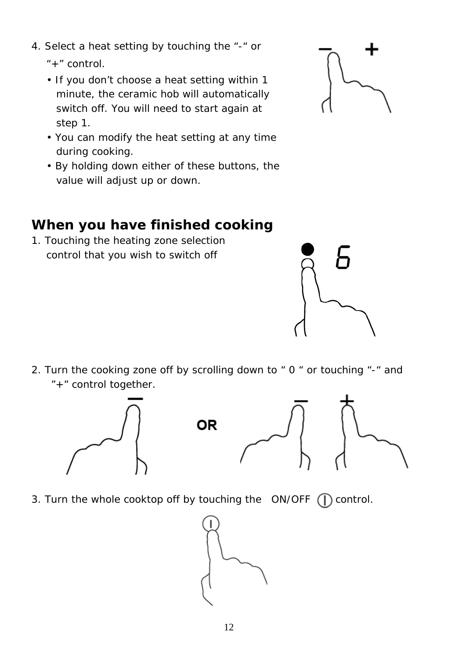- 4. Select a heat setting by touching the "-" or
	- "+" control.
	- If you don't choose a heat setting within 1 minute, the ceramic hob will automatically switch off. You will need to start again at step 1.
	- You can modify the heat setting at any time during cooking.
	- By holding down either of these buttons, the value will adjust up or down.

### **When you have finished cooking**

1. Touching the heating zone selection control that you wish to switch off



2. Turn the cooking zone off by scrolling down to " 0 " or touching "-" and "+" control together.



3. Turn the whole cooktop off by touching the  $ON/OFF$  ( $\bigcap$  control.



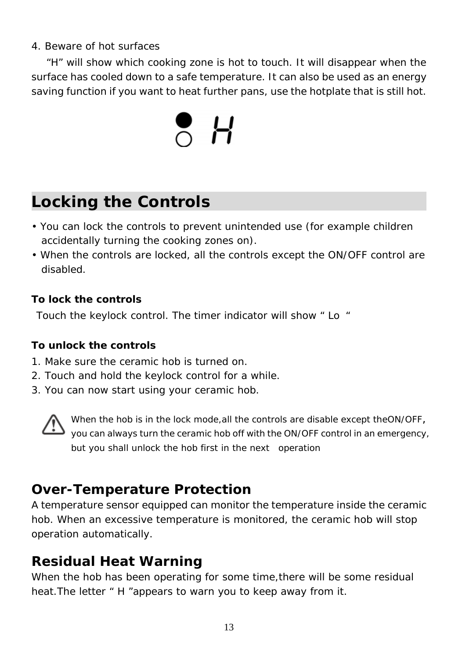#### 4. Beware of hot surfaces

"H" will show which cooking zone is hot to touch. It will disappear when the surface has cooled down to a safe temperature. It can also be used as an energy saving function if you want to heat further pans, use the hotplate that is still hot.



## **Locking the Controls**

- You can lock the controls to prevent unintended use (for example children accidentally turning the cooking zones on).
- When the controls are locked, all the controls except the ON/OFF control are disabled.

#### **To lock the controls**

Touch the keylock control. The timer indicator will show " Lo "

#### **To unlock the controls**

- 1. Make sure the ceramic hob is turned on.
- 2. Touch and hold the keylock control for a while.
- 3. You can now start using your ceramic hob.



When the hob is in the lock mode,all the controls are disable except theON/OFF, you can always turn the ceramic hob off with the ON/OFF control in an emergency, but you shall unlock the hob first in the next operation

### **Over-Temperature Protection**

A temperature sensor equipped can monitor the temperature inside the ceramic hob. When an excessive temperature is monitored, the ceramic hob will stop operation automatically.

### **Residual Heat Warning**

When the hob has been operating for some time,there will be some residual heat. The letter " H "appears to warn you to keep away from it.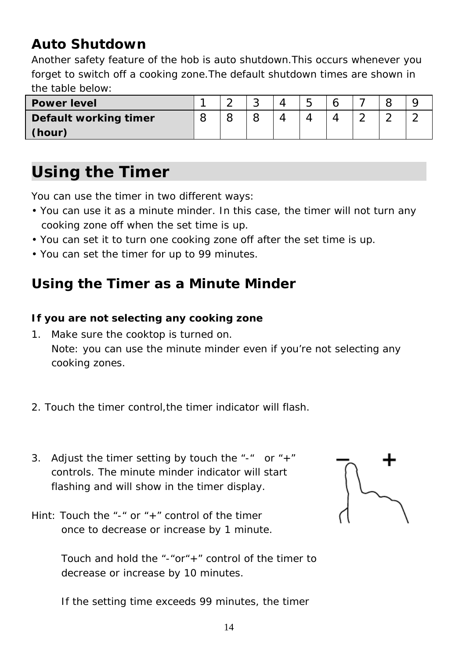### **Auto Shutdown**

Another safety feature of the hob is auto shutdown.This occurs whenever you forget to switch off a cooking zone.The default shutdown times are shown in the table below:

| <b>Power level</b>    |  | u | -<br>∽<br>ີ |  |   |  |
|-----------------------|--|---|-------------|--|---|--|
| Default working timer |  |   |             |  | ∽ |  |
| (hour)                |  |   |             |  |   |  |

## **Using the Timer**

You can use the timer in two different ways:

- You can use it as a minute minder. In this case, the timer will not turn any cooking zone off when the set time is up.
- You can set it to turn one cooking zone off after the set time is up.
- You can set the timer for up to 99 minutes.

### **Using the Timer as a Minute Minder**

#### **If you are not selecting any cooking zone**

- 1. Make sure the cooktop is turned on. Note: you can use the minute minder even if you're not selecting any cooking zones.
- 2. Touch the timer control,the timer indicator will flash.
- 3. Adjust the timer setting by touch the "-" or " $+$ " controls. The minute minder indicator will start flashing and will show in the timer display.
- Hint: Touch the "-" or "+" control of the timer once to decrease or increase by 1 minute.

Touch and hold the "-"or"+" control of the timer to decrease or increase by 10 minutes.



If the setting time exceeds 99 minutes, the timer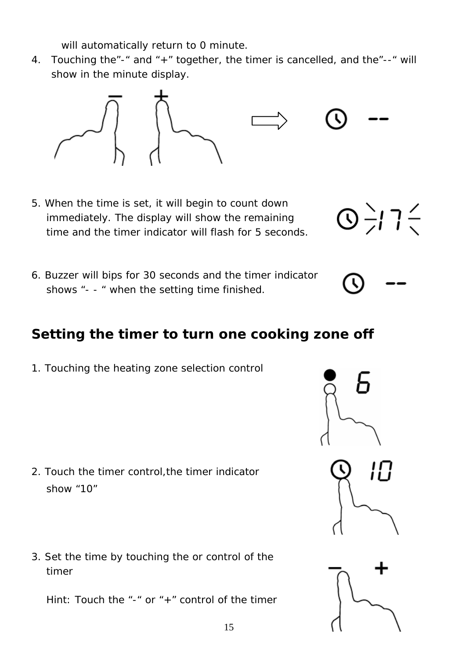will automatically return to 0 minute.

4. Touching the"-" and "+" together, the timer is cancelled, and the"--" will show in the minute display.



- 5. When the time is set, it will begin to count down immediately. The display will show the remaining time and the timer indicator will flash for 5 seconds.
- 6. Buzzer will bips for 30 seconds and the timer indicator shows "- - " when the setting time finished.

### **Setting the timer to turn one cooking zone off**

1. Touching the heating zone selection control

- 2. Touch the timer control,the timer indicator show "10"
- 3. Set the time by touching the or control of the timer

Hint: Touch the "-" or "+" control of the timer



Ц

 $\bigcirc$   $\frac{1}{2}$   $\frac{1}{2}$   $\frac{1}{2}$ 

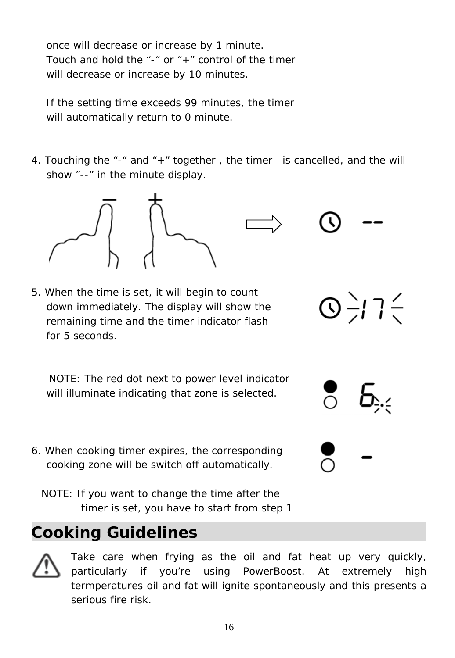once will decrease or increase by 1 minute. Touch and hold the "-" or "+" control of the timer will decrease or increase by 10 minutes.

If the setting time exceeds 99 minutes, the timer will automatically return to 0 minute.

4. Touching the "-" and "+" together , the timer is cancelled, and the will show "--" in the minute display.



 $\bigcirc$   $\frac{1}{2}$  7  $\frac{2}{3}$ 

5. When the time is set, it will begin to count down immediately. The display will show the remaining time and the timer indicator flash for 5 seconds.

NOTE: The red dot next to power level indicator will illuminate indicating that zone is selected.

- 6. When cooking timer expires, the corresponding cooking zone will be switch off automatically.
	- NOTE: If you want to change the time after the timer is set, you have to start from step 1

## **Cooking Guidelines**



Take care when frying as the oil and fat heat up very quickly, particularly if you're using PowerBoost. At extremely high termperatures oil and fat will ignite spontaneously and this presents a serious fire risk.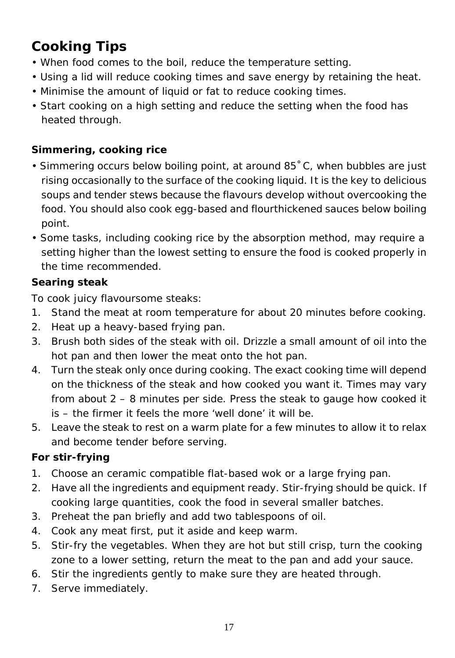## **Cooking Tips**

- When food comes to the boil, reduce the temperature setting.
- Using a lid will reduce cooking times and save energy by retaining the heat.
- Minimise the amount of liquid or fat to reduce cooking times.
- Start cooking on a high setting and reduce the setting when the food has heated through.

### **Simmering, cooking rice**

- Simmering occurs below boiling point, at around 85˚C, when bubbles are just rising occasionally to the surface of the cooking liquid. It is the key to delicious soups and tender stews because the flavours develop without overcooking the food. You should also cook egg-based and flourthickened sauces below boiling point.
- Some tasks, including cooking rice by the absorption method, may require a setting higher than the lowest setting to ensure the food is cooked properly in the time recommended.

### **Searing steak**

To cook juicy flavoursome steaks:

- 1. Stand the meat at room temperature for about 20 minutes before cooking.
- 2. Heat up a heavy-based frying pan.
- 3. Brush both sides of the steak with oil. Drizzle a small amount of oil into the hot pan and then lower the meat onto the hot pan.
- 4. Turn the steak only once during cooking. The exact cooking time will depend on the thickness of the steak and how cooked you want it. Times may vary from about 2 – 8 minutes per side. Press the steak to gauge how cooked it is – the firmer it feels the more 'well done' it will be.
- 5. Leave the steak to rest on a warm plate for a few minutes to allow it to relax and become tender before serving.

### **For stir-frying**

- 1. Choose an ceramic compatible flat-based wok or a large frying pan.
- 2. Have all the ingredients and equipment ready. Stir-frying should be quick. If cooking large quantities, cook the food in several smaller batches.
- 3. Preheat the pan briefly and add two tablespoons of oil.
- 4. Cook any meat first, put it aside and keep warm.
- 5. Stir-fry the vegetables. When they are hot but still crisp, turn the cooking zone to a lower setting, return the meat to the pan and add your sauce.
- 6. Stir the ingredients gently to make sure they are heated through.
- 7. Serve immediately.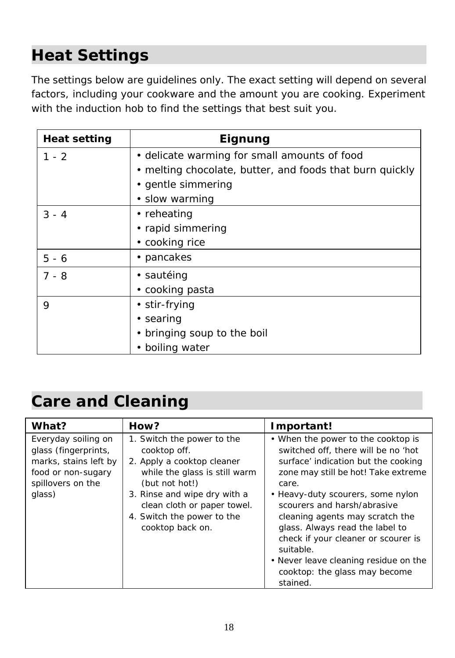# **Heat Settings**

The settings below are guidelines only. The exact setting will depend on several factors, including your cookware and the amount you are cooking. Experiment with the induction hob to find the settings that best suit you.

| Heat setting | Eignung                                                  |
|--------------|----------------------------------------------------------|
| $1 - 2$      | • delicate warming for small amounts of food             |
|              | • melting chocolate, butter, and foods that burn quickly |
|              | • gentle simmering                                       |
|              | • slow warming                                           |
| $3 - 4$      | • reheating                                              |
|              | • rapid simmering                                        |
|              | • cooking rice                                           |
| $5 - 6$      | • pancakes                                               |
| $7 - 8$      | • sautéing                                               |
|              | • cooking pasta                                          |
| 9            | • stir-frying                                            |
|              | • searing                                                |
|              | bringing soup to the boil<br>٠                           |
|              | boiling water                                            |

## **Care and Cleaning**

| What?                                                                                                                     | How?                                                                                                                                                                                                                                         | Important!                                                                                                                                                                                                                                                                                                                                                                                                                                           |
|---------------------------------------------------------------------------------------------------------------------------|----------------------------------------------------------------------------------------------------------------------------------------------------------------------------------------------------------------------------------------------|------------------------------------------------------------------------------------------------------------------------------------------------------------------------------------------------------------------------------------------------------------------------------------------------------------------------------------------------------------------------------------------------------------------------------------------------------|
| Everyday soiling on<br>glass (fingerprints,<br>marks, stains left by<br>food or non-sugary<br>spillovers on the<br>glass) | 1. Switch the power to the<br>cooktop off.<br>2. Apply a cooktop cleaner<br>while the glass is still warm<br>(but not hot!)<br>3. Rinse and wipe dry with a<br>clean cloth or paper towel.<br>4. Switch the power to the<br>cooktop back on. | • When the power to the cooktop is<br>switched off, there will be no 'hot<br>surface' indication but the cooking<br>zone may still be hot! Take extreme<br>care.<br>• Heavy-duty scourers, some nylon<br>scourers and harsh/abrasive<br>cleaning agents may scratch the<br>glass. Always read the label to<br>check if your cleaner or scourer is<br>suitable.<br>• Never leave cleaning residue on the<br>cooktop: the glass may become<br>stained. |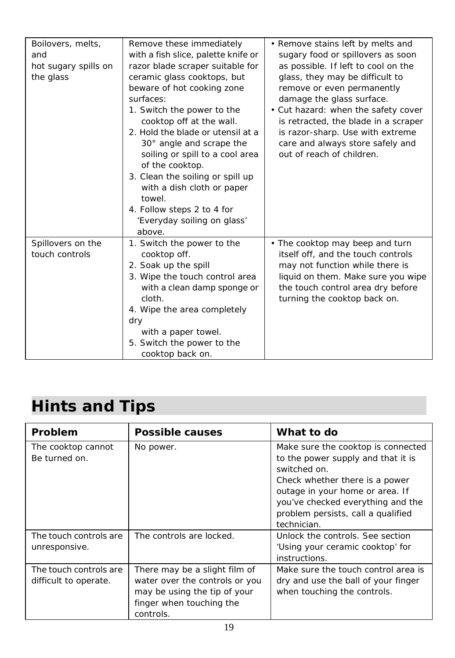| Boilovers, melts,    | Remove these immediately            | • Remove stains left by melts and    |
|----------------------|-------------------------------------|--------------------------------------|
| and                  | with a fish slice, palette knife or | sugary food or spillovers as soon    |
| hot sugary spills on | razor blade scraper suitable for    | as possible. If left to cool on the  |
| the glass            | ceramic glass cooktops, but         | glass, they may be difficult to      |
|                      | beware of hot cooking zone          | remove or even permanently           |
|                      | surfaces:                           | damage the glass surface.            |
|                      | 1. Switch the power to the          | • Cut hazard: when the safety cover  |
|                      | cooktop off at the wall.            | is retracted, the blade in a scraper |
|                      | 2. Hold the blade or utensil at a   | is razor-sharp. Use with extreme     |
|                      | 30° angle and scrape the            | care and always store safely and     |
|                      | soiling or spill to a cool area     | out of reach of children.            |
|                      | of the cooktop.                     |                                      |
|                      | 3. Clean the soiling or spill up    |                                      |
|                      | with a dish cloth or paper          |                                      |
|                      | towel.                              |                                      |
|                      | 4. Follow steps 2 to 4 for          |                                      |
|                      | 'Everyday soiling on glass'         |                                      |
|                      | above.                              |                                      |
| Spillovers on the    | 1. Switch the power to the          | • The cooktop may beep and turn      |
| touch controls       | cooktop off.                        | itself off, and the touch controls   |
|                      | 2. Soak up the spill                | may not function while there is      |
|                      | 3. Wipe the touch control area      | liquid on them. Make sure you wipe   |
|                      | with a clean damp sponge or         | the touch control area dry before    |
|                      | cloth.                              | turning the cooktop back on.         |
|                      | 4. Wipe the area completely         |                                      |
|                      | dry                                 |                                      |
|                      | with a paper towel.                 |                                      |
|                      | 5. Switch the power to the          |                                      |
|                      | cooktop back on.                    |                                      |

# **Hints and Tips**

| Problem                                         | Possible causes                                                                                                                          | What to do                                                                                                                                                                                                                                              |
|-------------------------------------------------|------------------------------------------------------------------------------------------------------------------------------------------|---------------------------------------------------------------------------------------------------------------------------------------------------------------------------------------------------------------------------------------------------------|
| The cooktop cannot<br>Be turned on.             | No power.                                                                                                                                | Make sure the cooktop is connected<br>to the power supply and that it is<br>switched on.<br>Check whether there is a power<br>outage in your home or area. If<br>you've checked everything and the<br>problem persists, call a qualified<br>technician. |
| The touch controls are<br>unresponsive.         | The controls are locked.                                                                                                                 | Unlock the controls. See section<br>'Using your ceramic cooktop' for<br>instructions.                                                                                                                                                                   |
| The touch controls are<br>difficult to operate. | There may be a slight film of<br>water over the controls or you<br>may be using the tip of your<br>finger when touching the<br>controls. | Make sure the touch control area is<br>dry and use the ball of your finger<br>when touching the controls.                                                                                                                                               |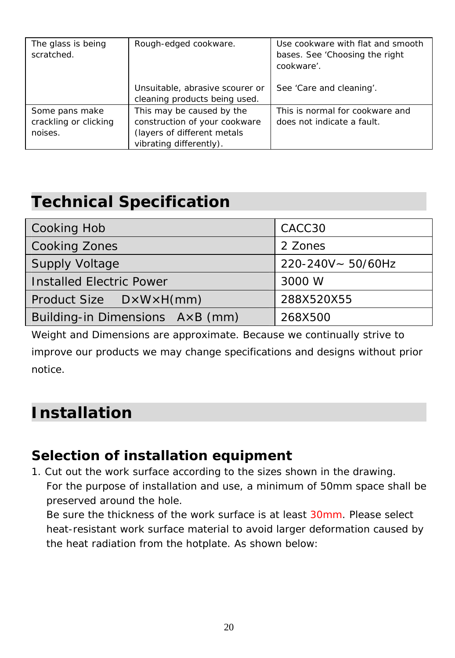| The glass is being<br>scratched.                   | Rough-edged cookware.                                                                                                | Use cookware with flat and smooth<br>bases. See 'Choosing the right<br>cookware'. |
|----------------------------------------------------|----------------------------------------------------------------------------------------------------------------------|-----------------------------------------------------------------------------------|
|                                                    | Unsuitable, abrasive scourer or<br>cleaning products being used.                                                     | See 'Care and cleaning'.                                                          |
| Some pans make<br>crackling or clicking<br>noises. | This may be caused by the<br>construction of your cookware<br>(layers of different metals<br>vibrating differently). | This is normal for cookware and<br>does not indicate a fault.                     |

## **Technical Specification**

| Cooking Hob                     | CACC30            |  |
|---------------------------------|-------------------|--|
| Cooking Zones                   | 2 Zones           |  |
| <b>Supply Voltage</b>           | 220-240V~ 50/60Hz |  |
| Installed Electric Power        | 3000 W            |  |
| Product Size DxWxH(mm)          | 288X520X55        |  |
| Building-in Dimensions AxB (mm) | 268X500           |  |

Weight and Dimensions are approximate. Because we continually strive to improve our products we may change specifications and designs without prior notice.

## **Installation**

### **Selection of installation equipment**

1. Cut out the work surface according to the sizes shown in the drawing. For the purpose of installation and use, a minimum of 50mm space shall be preserved around the hole.

Be sure the thickness of the work surface is at least 30mm. Please select heat-resistant work surface material to avoid larger deformation caused by the heat radiation from the hotplate. As shown below: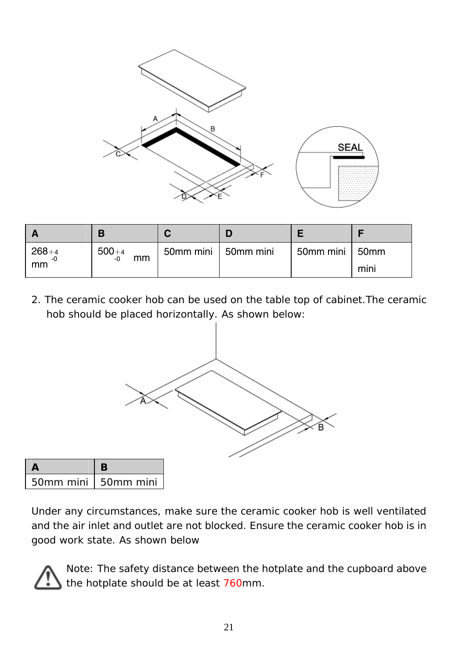

| $268+4$<br>-0<br>mm | $500 + 4$<br>mm<br>-0 | 50mm mini   50mm mini | 50mm mini   50mm | mini |
|---------------------|-----------------------|-----------------------|------------------|------|

2. The ceramic cooker hob can be used on the table top of cabinet.The ceramic hob should be placed horizontally. As shown below:



| 50mm mini   50mm mini |  |
|-----------------------|--|

Under any circumstances, make sure the ceramic cooker hob is well ventilated and the air inlet and outlet are not blocked. Ensure the ceramic cooker hob is in good work state. As shown below



Note: The safety distance between the hotplate and the cupboard above the hotplate should be at least 760mm.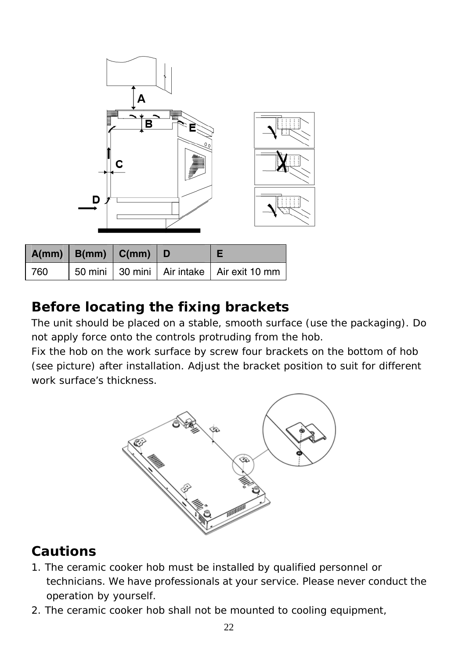| ೠ<br>▒<br>Ш<br>B<br>0 <sub>0</sub><br>c<br>₩ | ŧ<br>Î<br>Ĩ<br>$\overline{a}$<br>÷<br>ŧ |
|----------------------------------------------|-----------------------------------------|
| D<br>в                                       | ٠<br>×                                  |

|     | $A(mm)$ $B(mm)$ $C(mm)$ $D$ |  |                                           |
|-----|-----------------------------|--|-------------------------------------------|
| 760 |                             |  | 50 mini 30 mini Air intake Air exit 10 mm |

### **Before locating the fixing brackets**

The unit should be placed on a stable, smooth surface (use the packaging). Do not apply force onto the controls protruding from the hob.

Fix the hob on the work surface by screw four brackets on the bottom of hob (see picture) after installation. Adjust the bracket position to suit for different work surface's thickness.



### **Cautions**

- 1. The ceramic cooker hob must be installed by qualified personnel or technicians. We have professionals at your service. Please never conduct the operation by yourself.
- 2. The ceramic cooker hob shall not be mounted to cooling equipment,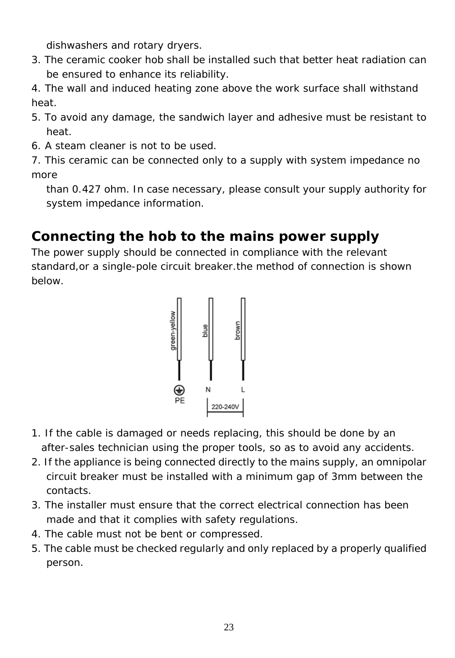dishwashers and rotary dryers.

3. The ceramic cooker hob shall be installed such that better heat radiation can be ensured to enhance its reliability.

4. The wall and induced heating zone above the work surface shall withstand heat.

- 5. To avoid any damage, the sandwich layer and adhesive must be resistant to heat.
- 6. A steam cleaner is not to be used.

7. This ceramic can be connected only to a supply with system impedance no more

than 0.427 ohm. In case necessary, please consult your supply authority for system impedance information.

## **Connecting the hob to the mains power supply**

The power supply should be connected in compliance with the relevant standard,or a single-pole circuit breaker.the method of connection is shown below.



- 1. If the cable is damaged or needs replacing, this should be done by an after-sales technician using the proper tools, so as to avoid any accidents.
- 2. If the appliance is being connected directly to the mains supply, an omnipolar circuit breaker must be installed with a minimum gap of 3mm between the contacts.
- 3. The installer must ensure that the correct electrical connection has been made and that it complies with safety regulations.
- 4. The cable must not be bent or compressed.
- 5. The cable must be checked regularly and only replaced by a properly qualified person.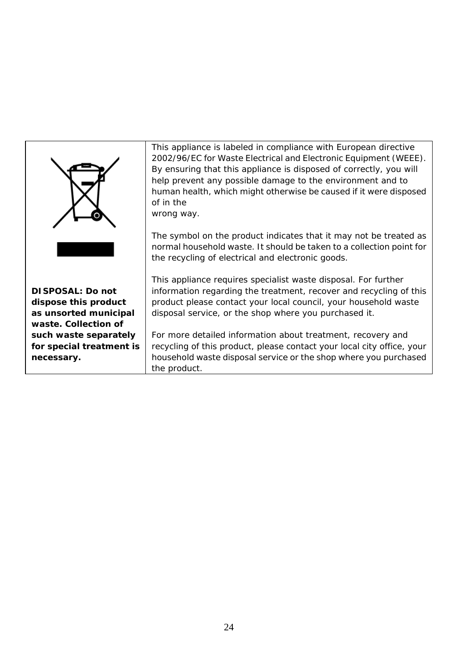|                                                                    | This appliance is labeled in compliance with European directive<br>2002/96/EC for Waste Electrical and Electronic Equipment (WEEE).<br>By ensuring that this appliance is disposed of correctly, you will<br>help prevent any possible damage to the environment and to<br>human health, which might otherwise be caused if it were disposed<br>of in the<br>wrong way.<br>The symbol on the product indicates that it may not be treated as<br>normal household waste. It should be taken to a collection point for<br>the recycling of electrical and electronic goods. |
|--------------------------------------------------------------------|---------------------------------------------------------------------------------------------------------------------------------------------------------------------------------------------------------------------------------------------------------------------------------------------------------------------------------------------------------------------------------------------------------------------------------------------------------------------------------------------------------------------------------------------------------------------------|
| DI SPOSAL: Do not<br>dispose this product<br>as unsorted municipal | This appliance requires specialist waste disposal. For further<br>information regarding the treatment, recover and recycling of this<br>product please contact your local council, your household waste<br>disposal service, or the shop where you purchased it.                                                                                                                                                                                                                                                                                                          |
| waste. Collection of<br>such waste separately                      | For more detailed information about treatment, recovery and                                                                                                                                                                                                                                                                                                                                                                                                                                                                                                               |
| for special treatment is                                           | recycling of this product, please contact your local city office, your                                                                                                                                                                                                                                                                                                                                                                                                                                                                                                    |
| necessary.                                                         | household waste disposal service or the shop where you purchased<br>the product.                                                                                                                                                                                                                                                                                                                                                                                                                                                                                          |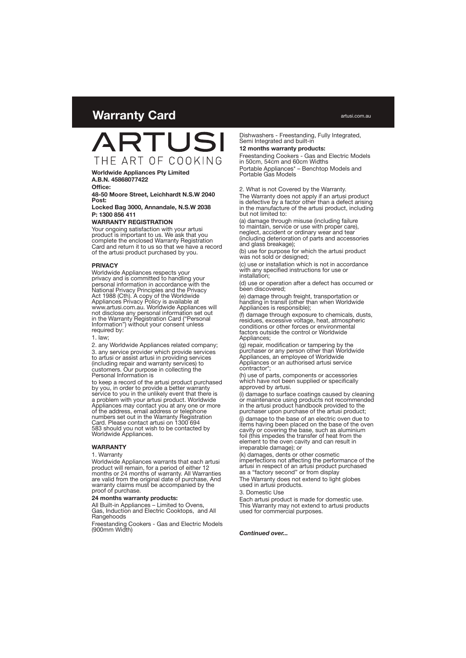# **Warranty Card**



**Worldwide Appliances Pty Limited A.B.N. 45868077422**

**Office:**

**48-50 Moore Street, Leichhardt N.S.W 2040 Post:**

**Locked Bag 3000, Annandale, N.S.W 2038 P: 1300 856 411**

#### **WARRANTY REGISTRATION**

Your ongoing satisfaction with your artusi product is important to us. We ask that you complete the enclosed Warranty Registration Card and return it to us so that we have a record of the artusi product purchased by you.

#### **PRIVACY**

Worldwide Appliances respects your privacy and is committed to handling your personal information in accordance with the National Privacy Principles and the Privacy Act 1988 (Cth). A copy of the Worldwide Appliances Privacy Policy is available at www.artusi.com.au. Worldwide Appliances will not disclose any personal information set out in the Warranty Registration Card ("Personal Information") without your consent unless required by:

1. law;

2. any Worldwide Appliances related company;

3. any service provider which provide services to artusi or assist artusi in providing services (including repair and warranty services) to customers. Our purpose in collecting the Personal Information is

to keep a record of the artusi product purchased by you, in order to provide a better warranty service to you in the unlikely event that there is a problem with your artusi product. Worldwide Appliances may contact you at any one or more of the address, email address or telephone numbers set out in the Warranty Registration Card. Please contact artusi on 1300 694 583 should you not wish to be contacted by Worldwide Appliances.

#### **WARRANTY**

#### 1. Warranty

Worldwide Appliances warrants that each artusi product will remain, for a period of either 12 months or 24 months of warranty. All Warranties are valid from the original date of purchase, And warranty claims must be accompanied by the proof of purchase.

#### **24 months warranty products:**

All Built-in Appliances – Limited to Ovens, Gas, Induction and Electric Cooktops, and All **Rangehoods** 

Freestanding Cookers - Gas and Electric Models (900mm Width)

Dishwashers - Freestanding, Fully Integrated, Semi Integrated and built-in

#### **12 months warranty products:**

Freestanding Cookers - Gas and Electric Models in 50cm, 54cm and 60cm Widths

Portable Appliances\* – Benchtop Models and Portable Gas Models

#### 2. What is not Covered by the Warranty.

The Warranty does not apply if an artusi product is defective by a factor other than a defect arising in the manufacture of the artusi product, including but not limited to:

(a) damage through misuse (including failure to maintain, service or use with proper care), neglect, accident or ordinary wear and tear (including deterioration of parts and accessories and glass breakage);

(b) use for purpose for which the artusi product was not sold or designed;

(c) use or installation which is not in accordance with any specified instructions for use or installation;

(d) use or operation after a defect has occurred or been discovered;

(e) damage through freight, transportation or handling in transit (other than when Worldwide Appliances is responsible);

(f) damage through exposure to chemicals, dusts, residues, excessive voltage, heat, atmospheric conditions or other forces or environmental factors outside the control or Worldwide Appliances;

(g) repair, modification or tampering by the purchaser or any person other than Worldwide Appliances, an employee of Worldwide Appliances or an authorised artusi service contractor\*;

(h) use of parts, components or accessories which have not been supplied or specifically approved by artusi.

(i) damage to surface coatings caused by cleaning or maintenance using products not recommended in the artusi product handbook provided to the purchaser upon purchase of the artusi product;

(j) damage to the base of an electric oven due to items having been placed on the base of the oven cavity or covering the base, such as aluminium foil (this impedes the transfer of heat from the element to the oven cavity and can result in irreparable damage); or

(k) damages, dents or other cosmetic imperfections not affecting the performance of the artusi in respect of an artusi product purchased as a "factory second" or from display

The Warranty does not extend to light globes used in artusi products.

3. Domestic Use

Each artusi product is made for domestic use. This Warranty may not extend to artusi products used for commercial purposes.

*Continued over...*